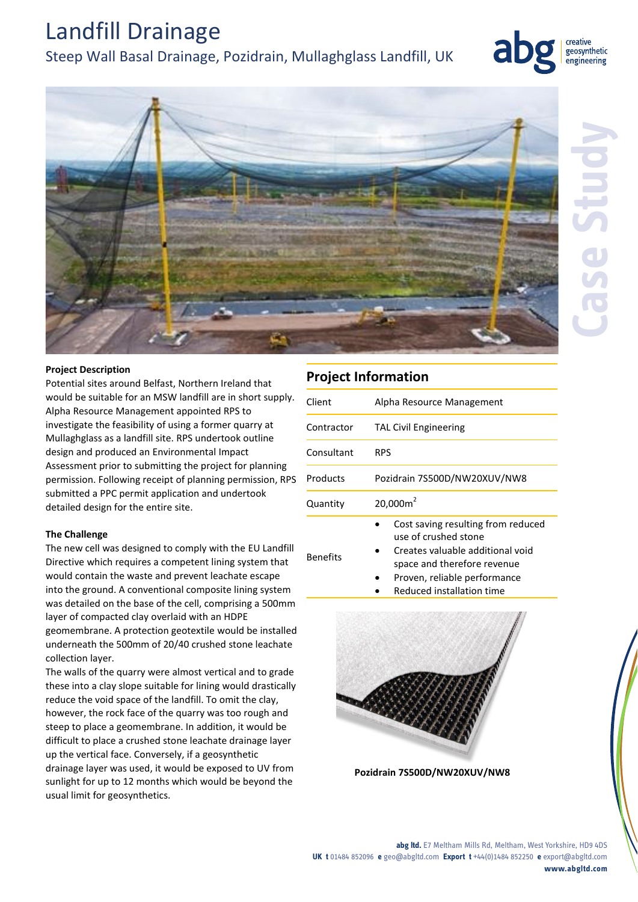## Landfill Drainage

## Steep Wall Basal Drainage, Pozidrain, Mullaghglass Landfill, UK



geosynthetic engineering

## **Project Description**

Potential sites around Belfast, Northern Ireland that would be suitable for an MSW landfill are in short supply. Alpha Resource Management appointed RPS to investigate the feasibility of using a former quarry at Mullaghglass as a landfill site. RPS undertook outline design and produced an Environmental Impact Assessment prior to submitting the project for planning permission. Following receipt of planning permission, RPS submitted a PPC permit application and undertook detailed design for the entire site.

### **The Challenge**

The new cell was designed to comply with the EU Landfill Directive which requires a competent lining system that would contain the waste and prevent leachate escape into the ground. A conventional composite lining system was detailed on the base of the cell, comprising a 500mm layer of compacted clay overlaid with an HDPE geomembrane. A protection geotextile would be installed underneath the 500mm of 20/40 crushed stone leachate collection layer.

The walls of the quarry were almost vertical and to grade these into a clay slope suitable for lining would drastically reduce the void space of the landfill. To omit the clay, however, the rock face of the quarry was too rough and steep to place a geomembrane. In addition, it would be difficult to place a crushed stone leachate drainage layer up the vertical face. Conversely, if a geosynthetic drainage layer was used, it would be exposed to UV from sunlight for up to 12 months which would be beyond the usual limit for geosynthetics.

## **Project Information**

| Client     | Alpha Resource Management                                  |
|------------|------------------------------------------------------------|
| Contractor | <b>TAL Civil Engineering</b>                               |
| Consultant | <b>RPS</b>                                                 |
| Products   | Pozidrain 7S500D/NW20XUV/NW8                               |
| Quantity   | 20,000m <sup>2</sup>                                       |
|            | Cost saving resulting from reduced<br>use of crushed stone |

- Benefits Creates valuable additional void
	- space and therefore revenue
	- Proven, reliable performance
	- Reduced installation time



**Pozidrain 7S500D/NW20XUV/NW8**